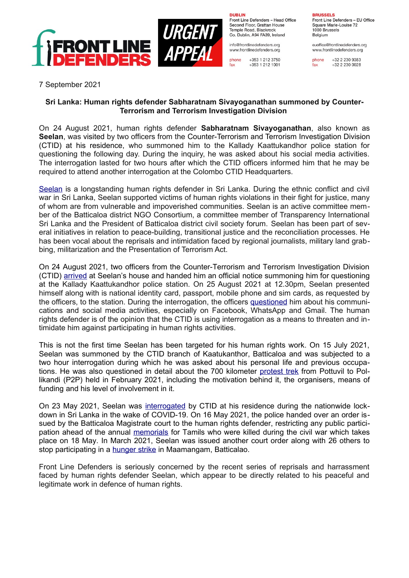

**DURLIN** Front Line Defenders - Head Office Second Floor, Grattan House Temple Boad, Blackrock Co. Dublin, A94 FA39, Ireland

info@frontlinedefenders.org www.frontlinedefenders.org

+353 1 212 3750 phone fax +353 1 212 1001 **BDUCCELC** Front Line Defenders - EU Office

Square Marie-Louise 72 1000 Brussels Belgium

euoffice@frontlinedefenders.org www.frontlinedefenders.org

+32 2 230 9383 fax +32 2 230 0028

7 September 2021

## **Sri Lanka: Human rights defender Sabharatnam Sivayoganathan summoned by Counter-Terrorism and Terrorism Investigation Division**

On 24 August 2021, human rights defender **Sabharatnam Sivayoganathan**, also known as **Seelan**, was visited by two officers from the Counter-Terrorism and Terrorism Investigation Division (CTID) at his residence, who summoned him to the Kallady Kaattukandhor police station for questioning the following day. During the inquiry, he was asked about his social media activities. The interrogation lasted for two hours after which the CTID officers informed him that he may be required to attend another interrogation at the Colombo CTID Headquarters.

[Seelan](https://www.frontlinedefenders.org/en/profile/sabharatnam-sivayoganathan) is a longstanding human rights defender in Sri Lanka. During the ethnic conflict and civil war in Sri Lanka, Seelan supported victims of human rights violations in their fight for justice, many of whom are from vulnerable and impoverished communities. Seelan is an active committee member of the Batticaloa district NGO Consortium, a committee member of Transparency International Sri Lanka and the President of Batticaloa district civil society forum. Seelan has been part of several initiatives in relation to peace-building, transitional justice and the reconciliation processes. He has been vocal about the reprisals and intimidation faced by regional journalists, military land grabbing, militarization and the Presentation of Terrorism Act.

On 24 August 2021, two officers from the Counter-Terrorism and Terrorism Investigation Division (CTID) [arrived](https://twitter.com/jdslanka/status/1396454743724249092?s=12) at Seelan's house and handed him an official notice summoning him for questioning at the Kallady Kaattukandhor police station. On 25 August 2021 at 12.30pm, Seelan presented himself along with is national identity card, passport, mobile phone and sim cards, as requested by the officers, to the station. During the interrogation, the officers [questioned](https://www.youtube.com/watch?v=-BRvfi3xqB4) him about his communications and social media activities, especially on Facebook, WhatsApp and Gmail. The human rights defender is of the opinion that the CTID is using interrogation as a means to threaten and intimidate him against participating in human rights activities.

This is not the first time Seelan has been targeted for his human rights work. On 15 July 2021, Seelan was summoned by the CTID branch of Kaatukanthor, Batticaloa and was subjected to a two hour interrogation during which he was asked about his personal life and previous occupations. He was also questioned in detail about the 700 kilometer [protest trek](https://www.thenewsminute.com/article/why-thousands-sri-lankans-marched-over-400-km-despite-multiple-court-bans-143077) from Pottuvil to Pollikandi (P2P) held in February 2021, including the motivation behind it, the organisers, means of funding and his level of involvement in it.

On 23 May 2021, Seelan was [interrogated](https://twitter.com/jdslanka/status/1396454743724249092?s=12) by CTID at his residence during the nationwide lockdown in Sri Lanka in the wake of COVID-19. On 16 May 2021, the police handed over an order issued by the Batticaloa Magistrate court to the human rights defender, restricting any public participation ahead of the annual [memorials](https://www.tamilguardian.com/content/second-day-mullivaikkal-remembrance-week-marked-homeland) for Tamils who were killed during the civil war which takes place on 18 May. In March 2021, Seelan was issued another court order along with 26 others to stop participating in a **[hunger strike](https://www.tamilguardian.com/content/hunger-strike-begins-batticaloa-calls-international-justice-ramp)** in Maamangam, Batticalao.

Front Line Defenders is seriously concerned by the recent series of reprisals and harrassment faced by human rights defender Seelan, which appear to be directly related to his peaceful and legitimate work in defence of human rights.